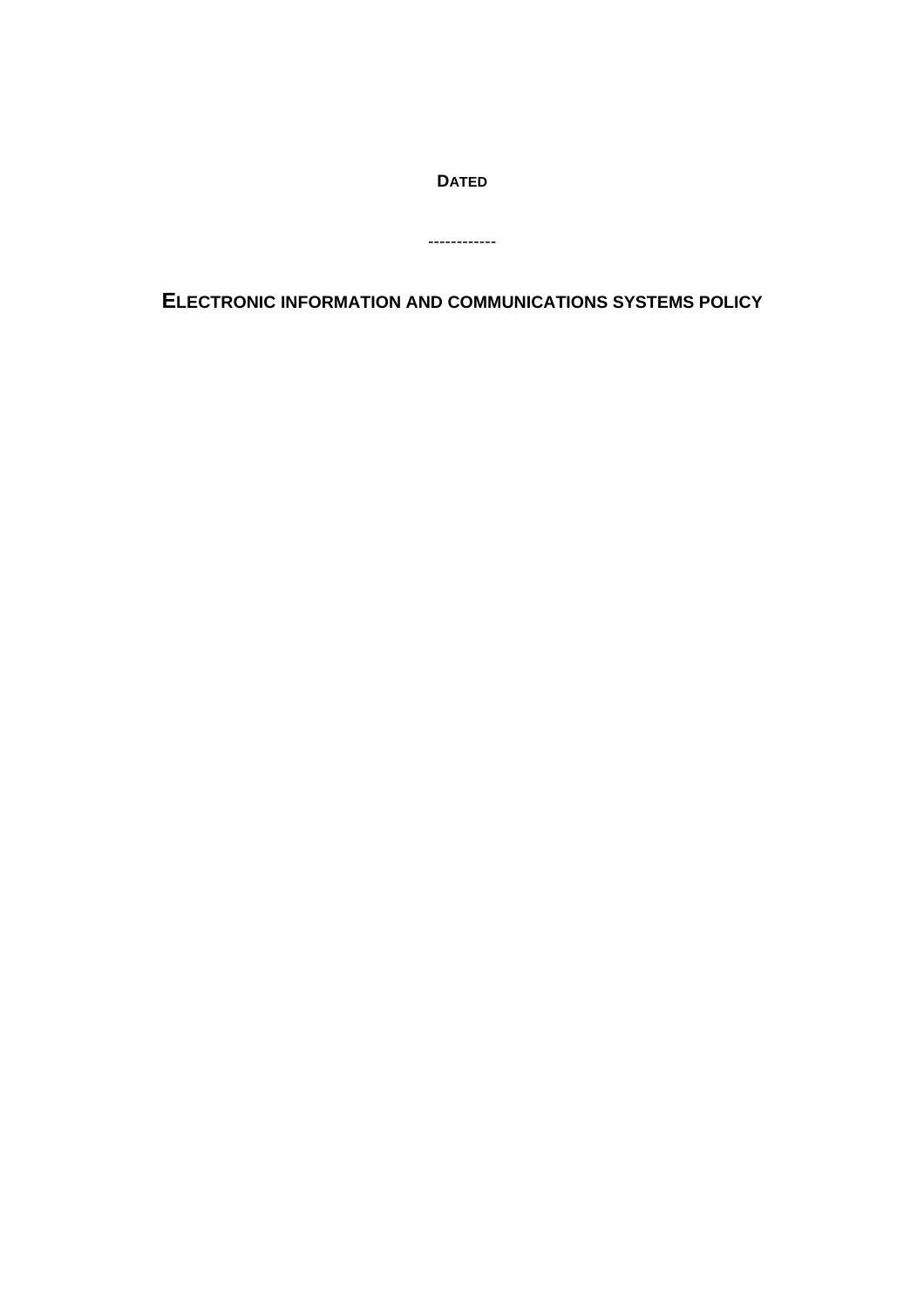**DATED**

------------

**ELECTRONIC INFORMATION AND COMMUNICATIONS SYSTEMS POLICY**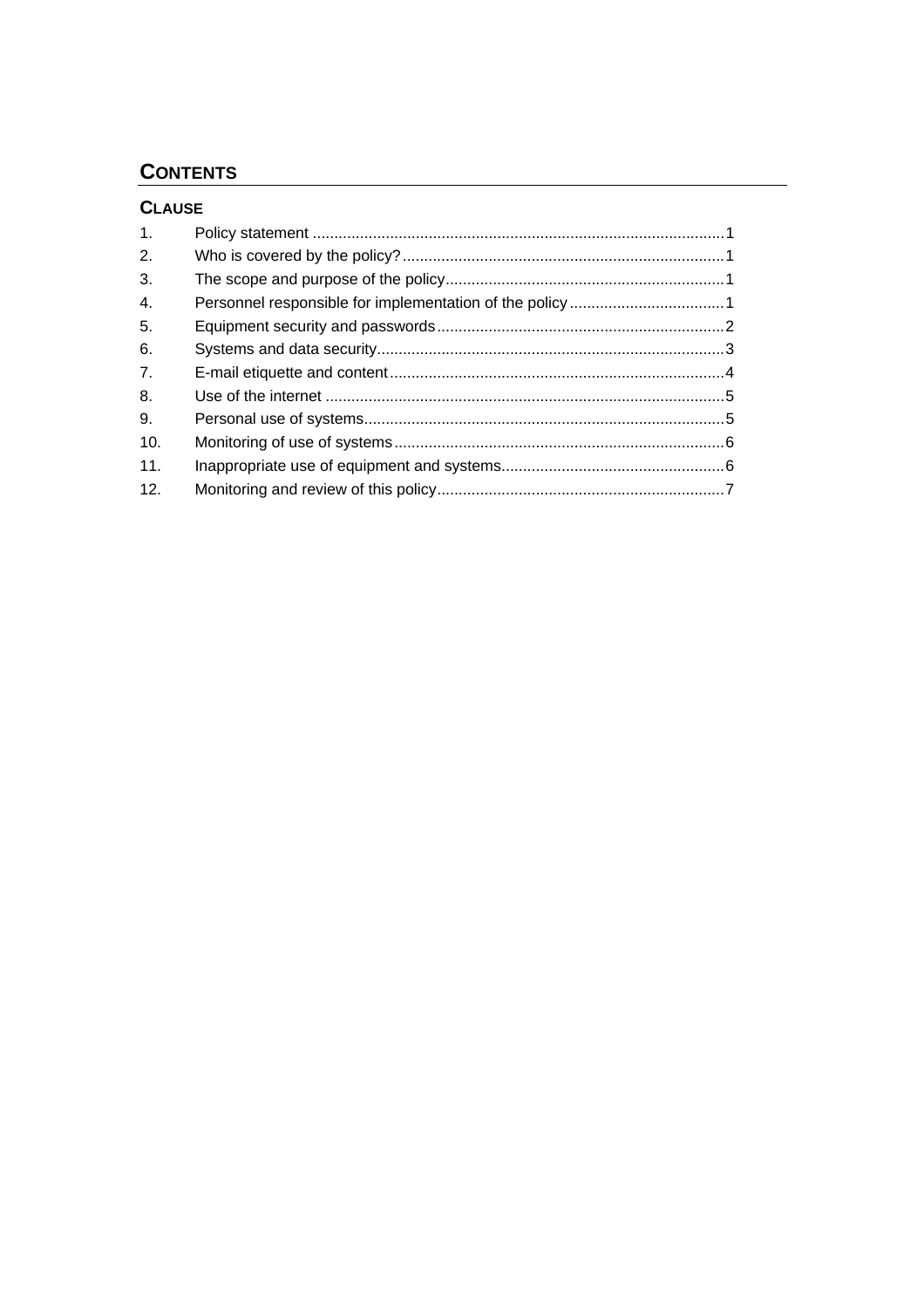# **CONTENTS**

 $\overline{a}$ 

| <b>CLAUSE</b> |  |
|---------------|--|
| 1.            |  |
| 2.            |  |
| 3.            |  |
| 4.            |  |
| 5.            |  |
| 6.            |  |
| 7.            |  |
| 8.            |  |
| 9.            |  |
| 10.           |  |
| 11.           |  |
| 12.           |  |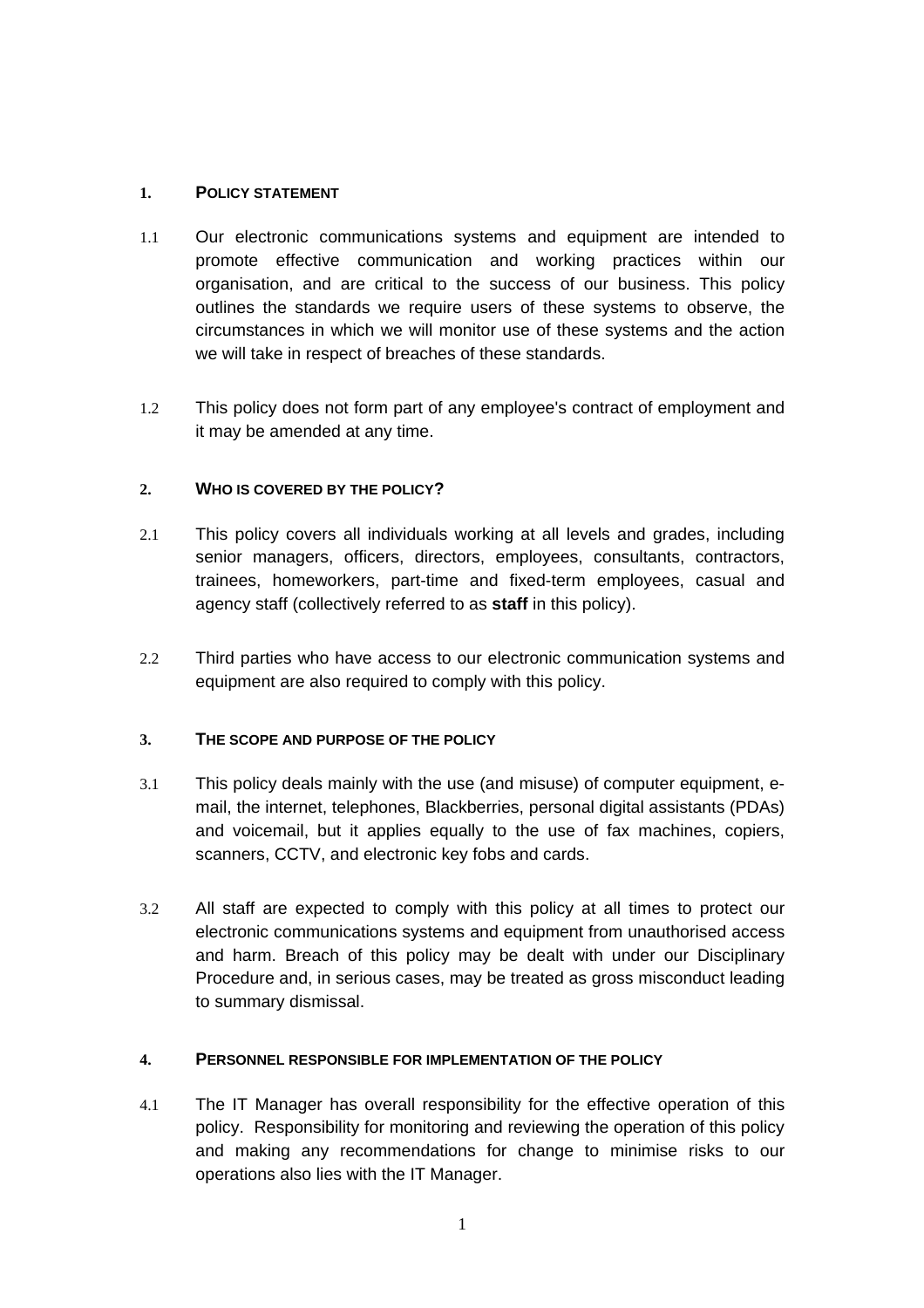## <span id="page-2-0"></span>**1. POLICY STATEMENT**

- 1.1 Our electronic communications systems and equipment are intended to promote effective communication and working practices within our organisation, and are critical to the success of our business. This policy outlines the standards we require users of these systems to observe, the circumstances in which we will monitor use of these systems and the action we will take in respect of breaches of these standards.
- 1.2 This policy does not form part of any employee's contract of employment and it may be amended at any time.

## **2. WHO IS COVERED BY THE POLICY?**

- 2.1 This policy covers all individuals working at all levels and grades, including senior managers, officers, directors, employees, consultants, contractors, trainees, homeworkers, part-time and fixed-term employees, casual and agency staff (collectively referred to as **staff** in this policy).
- 2.2 Third parties who have access to our electronic communication systems and equipment are also required to comply with this policy.

## **3. THE SCOPE AND PURPOSE OF THE POLICY**

- 3.1 This policy deals mainly with the use (and misuse) of computer equipment, email, the internet, telephones, Blackberries, personal digital assistants (PDAs) and voicemail, but it applies equally to the use of fax machines, copiers, scanners, CCTV, and electronic key fobs and cards.
- 3.2 All staff are expected to comply with this policy at all times to protect our electronic communications systems and equipment from unauthorised access and harm. Breach of this policy may be dealt with under our Disciplinary Procedure and, in serious cases, may be treated as gross misconduct leading to summary dismissal.

## **4. PERSONNEL RESPONSIBLE FOR IMPLEMENTATION OF THE POLICY**

4.1 The IT Manager has overall responsibility for the effective operation of this policy. Responsibility for monitoring and reviewing the operation of this policy and making any recommendations for change to minimise risks to our operations also lies with the IT Manager.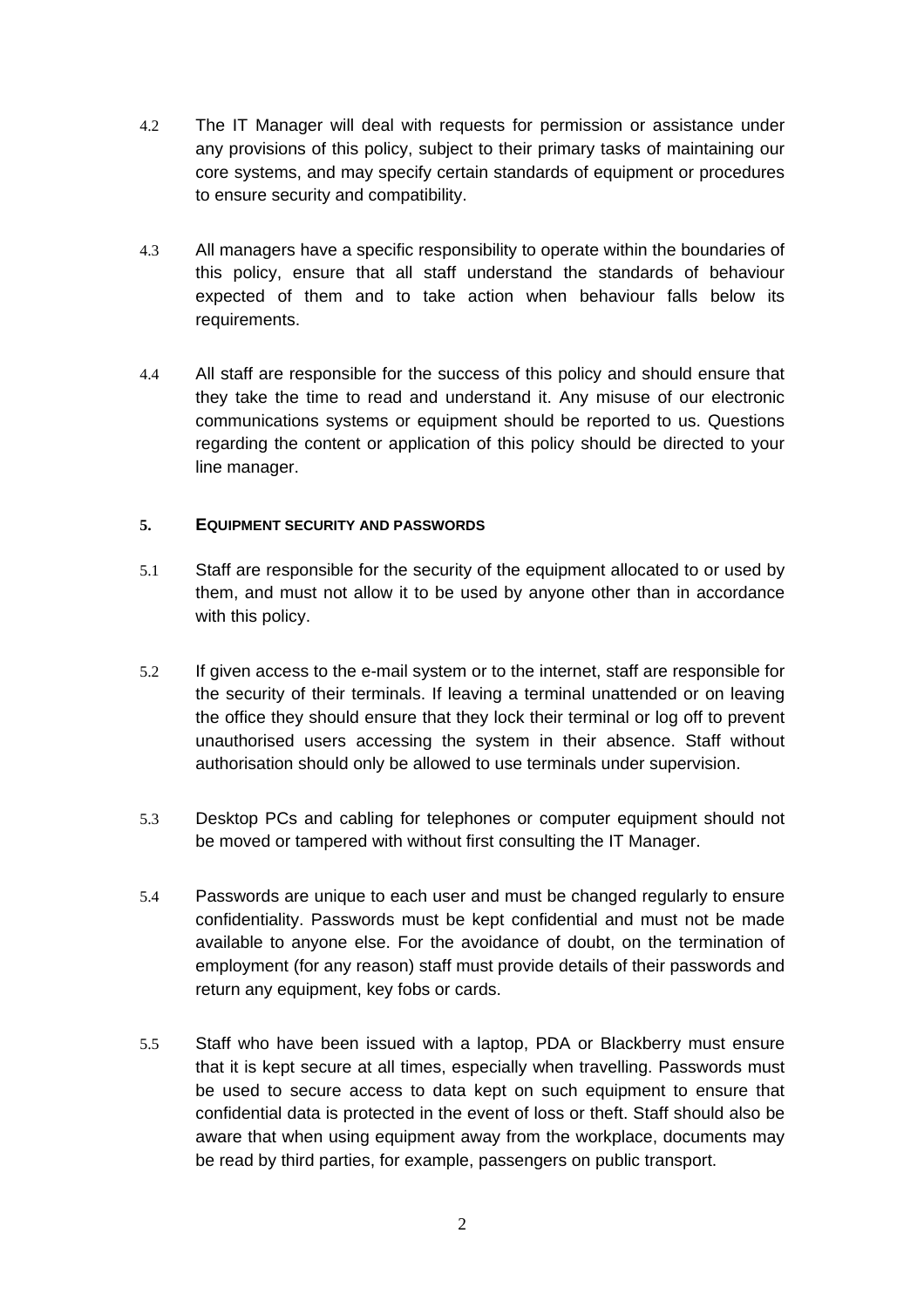- <span id="page-3-0"></span>4.2 The IT Manager will deal with requests for permission or assistance under any provisions of this policy, subject to their primary tasks of maintaining our core systems, and may specify certain standards of equipment or procedures to ensure security and compatibility.
- 4.3 All managers have a specific responsibility to operate within the boundaries of this policy, ensure that all staff understand the standards of behaviour expected of them and to take action when behaviour falls below its requirements.
- 4.4 All staff are responsible for the success of this policy and should ensure that they take the time to read and understand it. Any misuse of our electronic communications systems or equipment should be reported to us. Questions regarding the content or application of this policy should be directed to your line manager.

## **5. EQUIPMENT SECURITY AND PASSWORDS**

- 5.1 Staff are responsible for the security of the equipment allocated to or used by them, and must not allow it to be used by anyone other than in accordance with this policy.
- 5.2 If given access to the e-mail system or to the internet, staff are responsible for the security of their terminals. If leaving a terminal unattended or on leaving the office they should ensure that they lock their terminal or log off to prevent unauthorised users accessing the system in their absence. Staff without authorisation should only be allowed to use terminals under supervision.
- 5.3 Desktop PCs and cabling for telephones or computer equipment should not be moved or tampered with without first consulting the IT Manager.
- 5.4 Passwords are unique to each user and must be changed regularly to ensure confidentiality. Passwords must be kept confidential and must not be made available to anyone else. For the avoidance of doubt, on the termination of employment (for any reason) staff must provide details of their passwords and return any equipment, key fobs or cards.
- 5.5 Staff who have been issued with a laptop, PDA or Blackberry must ensure that it is kept secure at all times, especially when travelling. Passwords must be used to secure access to data kept on such equipment to ensure that confidential data is protected in the event of loss or theft. Staff should also be aware that when using equipment away from the workplace, documents may be read by third parties, for example, passengers on public transport.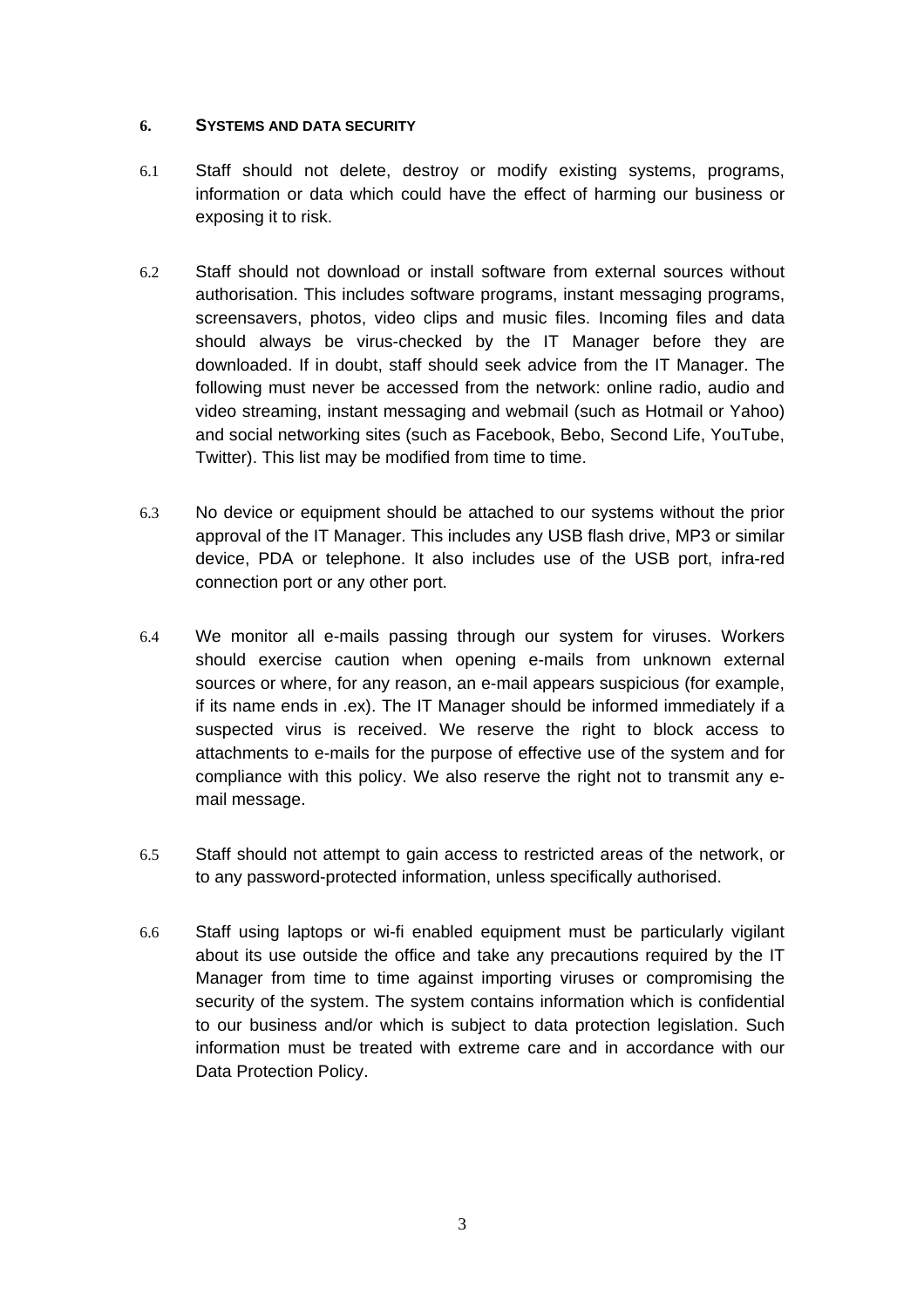#### <span id="page-4-0"></span>**6. SYSTEMS AND DATA SECURITY**

- 6.1 Staff should not delete, destroy or modify existing systems, programs, information or data which could have the effect of harming our business or exposing it to risk.
- 6.2 Staff should not download or install software from external sources without authorisation. This includes software programs, instant messaging programs, screensavers, photos, video clips and music files. Incoming files and data should always be virus-checked by the IT Manager before they are downloaded. If in doubt, staff should seek advice from the IT Manager. The following must never be accessed from the network: online radio, audio and video streaming, instant messaging and webmail (such as Hotmail or Yahoo) and social networking sites (such as Facebook, Bebo, Second Life, YouTube, Twitter). This list may be modified from time to time.
- 6.3 No device or equipment should be attached to our systems without the prior approval of the IT Manager. This includes any USB flash drive, MP3 or similar device, PDA or telephone. It also includes use of the USB port, infra-red connection port or any other port.
- 6.4 We monitor all e-mails passing through our system for viruses. Workers should exercise caution when opening e-mails from unknown external sources or where, for any reason, an e-mail appears suspicious (for example, if its name ends in .ex). The IT Manager should be informed immediately if a suspected virus is received. We reserve the right to block access to attachments to e-mails for the purpose of effective use of the system and for compliance with this policy. We also reserve the right not to transmit any email message.
- 6.5 Staff should not attempt to gain access to restricted areas of the network, or to any password-protected information, unless specifically authorised.
- 6.6 Staff using laptops or wi-fi enabled equipment must be particularly vigilant about its use outside the office and take any precautions required by the IT Manager from time to time against importing viruses or compromising the security of the system. The system contains information which is confidential to our business and/or which is subject to data protection legislation. Such information must be treated with extreme care and in accordance with our Data Protection Policy.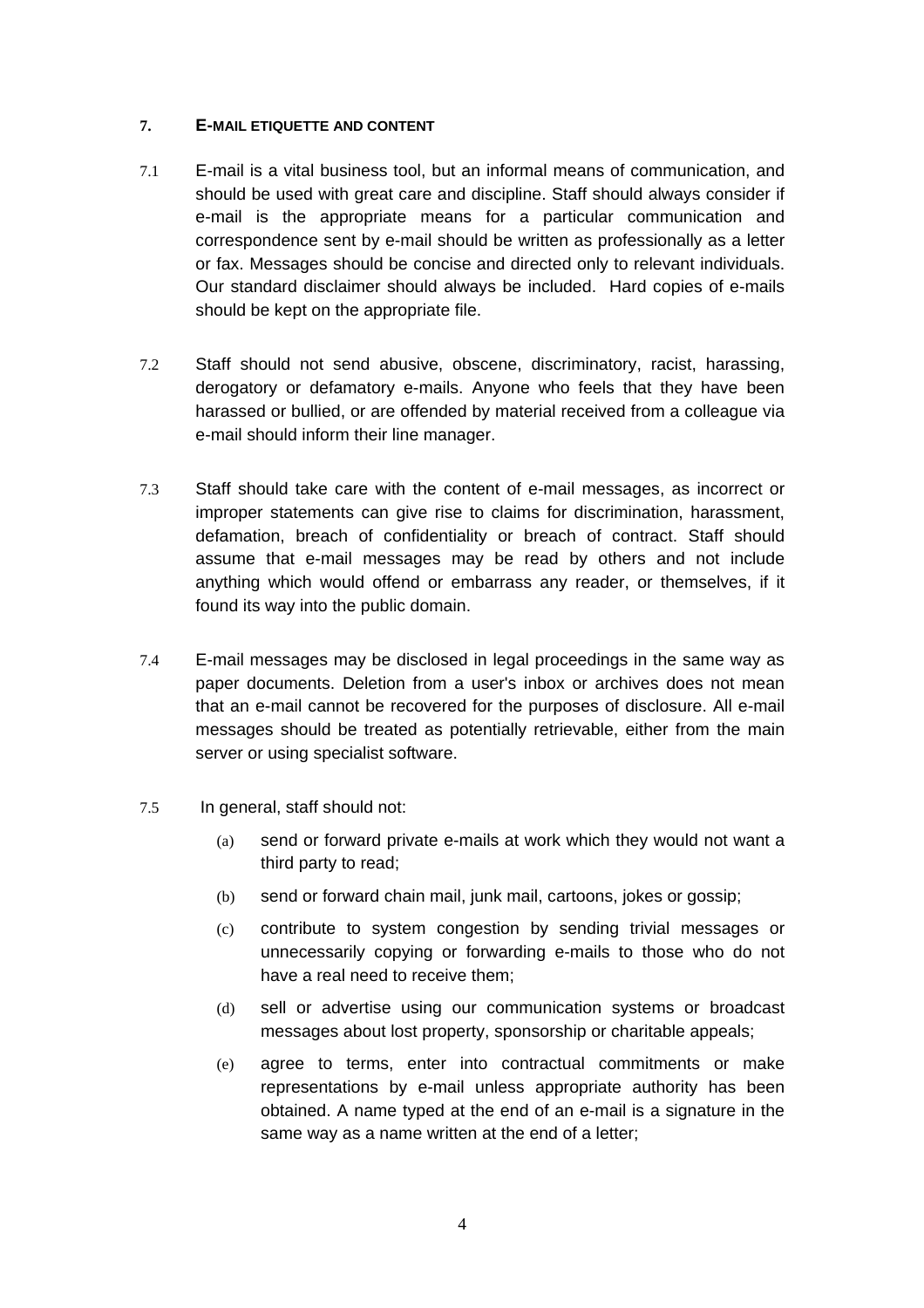#### <span id="page-5-0"></span>**7. E-MAIL ETIQUETTE AND CONTENT**

- 7.1 E-mail is a vital business tool, but an informal means of communication, and should be used with great care and discipline. Staff should always consider if e-mail is the appropriate means for a particular communication and correspondence sent by e-mail should be written as professionally as a letter or fax. Messages should be concise and directed only to relevant individuals. Our standard disclaimer should always be included. Hard copies of e-mails should be kept on the appropriate file.
- 7.2 Staff should not send abusive, obscene, discriminatory, racist, harassing, derogatory or defamatory e-mails. Anyone who feels that they have been harassed or bullied, or are offended by material received from a colleague via e-mail should inform their line manager.
- 7.3 Staff should take care with the content of e-mail messages, as incorrect or improper statements can give rise to claims for discrimination, harassment, defamation, breach of confidentiality or breach of contract. Staff should assume that e-mail messages may be read by others and not include anything which would offend or embarrass any reader, or themselves, if it found its way into the public domain.
- 7.4 E-mail messages may be disclosed in legal proceedings in the same way as paper documents. Deletion from a user's inbox or archives does not mean that an e-mail cannot be recovered for the purposes of disclosure. All e-mail messages should be treated as potentially retrievable, either from the main server or using specialist software.
- 7.5 In general, staff should not:
	- (a) send or forward private e-mails at work which they would not want a third party to read;
	- (b) send or forward chain mail, junk mail, cartoons, jokes or gossip;
	- (c) contribute to system congestion by sending trivial messages or unnecessarily copying or forwarding e-mails to those who do not have a real need to receive them;
	- (d) sell or advertise using our communication systems or broadcast messages about lost property, sponsorship or charitable appeals;
	- (e) agree to terms, enter into contractual commitments or make representations by e-mail unless appropriate authority has been obtained. A name typed at the end of an e-mail is a signature in the same way as a name written at the end of a letter;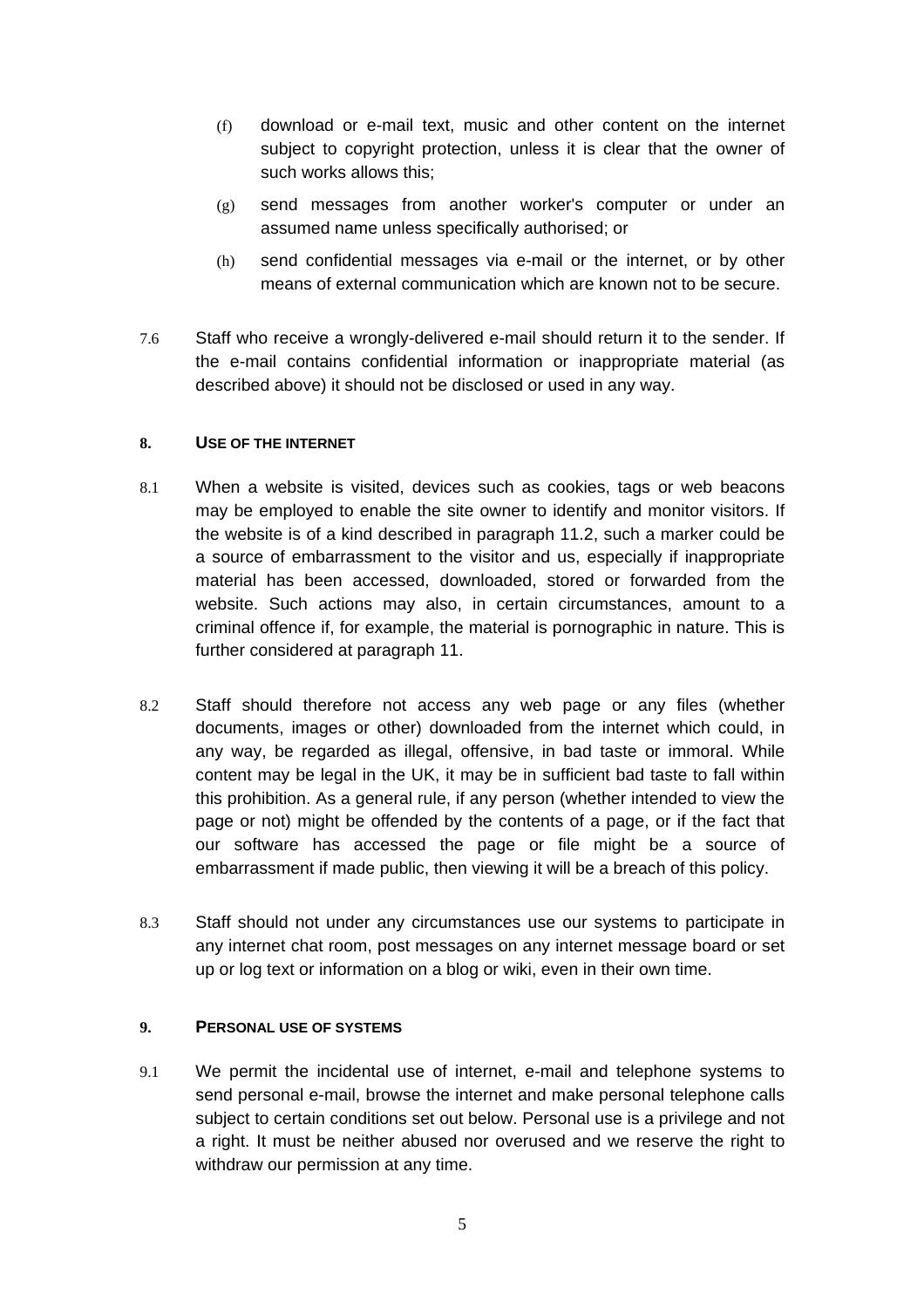- <span id="page-6-0"></span>(f) download or e-mail text, music and other content on the internet subject to copyright protection, unless it is clear that the owner of such works allows this;
- (g) send messages from another worker's computer or under an assumed name unless specifically authorised; or
- (h) send confidential messages via e-mail or the internet, or by other means of external communication which are known not to be secure.
- 7.6 Staff who receive a wrongly-delivered e-mail should return it to the sender. If the e-mail contains confidential information or inappropriate material (as described above) it should not be disclosed or used in any way.

#### **8. USE OF THE INTERNET**

- 8.1 When a website is visited, devices such as cookies, tags or web beacons may be employed to enable the site owner to identify and monitor visitors. If the website is of a kind described in paragraph 11.2, such a marker could be a source of embarrassment to the visitor and us, especially if inappropriate material has been accessed, downloaded, stored or forwarded from the website. Such actions may also, in certain circumstances, amount to a criminal offence if, for example, the material is pornographic in nature. This is further considered at paragraph 11.
- 8.2 Staff should therefore not access any web page or any files (whether documents, images or other) downloaded from the internet which could, in any way, be regarded as illegal, offensive, in bad taste or immoral. While content may be legal in the UK, it may be in sufficient bad taste to fall within this prohibition. As a general rule, if any person (whether intended to view the page or not) might be offended by the contents of a page, or if the fact that our software has accessed the page or file might be a source of embarrassment if made public, then viewing it will be a breach of this policy.
- 8.3 Staff should not under any circumstances use our systems to participate in any internet chat room, post messages on any internet message board or set up or log text or information on a blog or wiki, even in their own time.

## **9. PERSONAL USE OF SYSTEMS**

9.1 We permit the incidental use of internet, e-mail and telephone systems to send personal e-mail, browse the internet and make personal telephone calls subject to certain conditions set out below. Personal use is a privilege and not a right. It must be neither abused nor overused and we reserve the right to withdraw our permission at any time.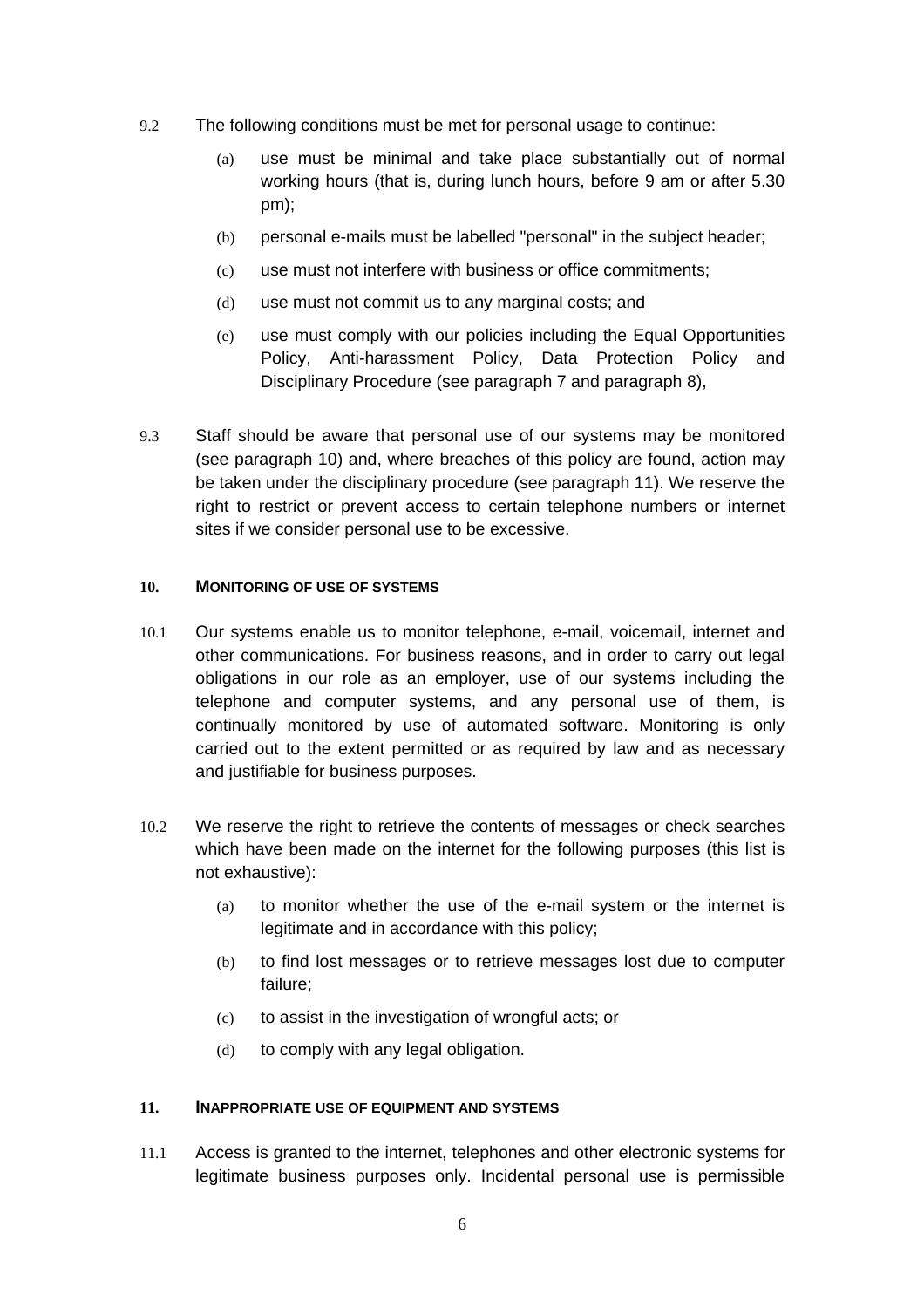- <span id="page-7-0"></span>9.2 The following conditions must be met for personal usage to continue:
	- (a) use must be minimal and take place substantially out of normal working hours (that is, during lunch hours, before 9 am or after 5.30 pm);
	- (b) personal e-mails must be labelled "personal" in the subject header;
	- (c) use must not interfere with business or office commitments;
	- (d) use must not commit us to any marginal costs; and
	- (e) use must comply with our policies including the Equal Opportunities Policy, Anti-harassment Policy, Data Protection Policy and Disciplinary Procedure (see paragraph 7 and paragraph 8),
- 9.3 Staff should be aware that personal use of our systems may be monitored (see paragraph 10) and, where breaches of this policy are found, action may be taken under the disciplinary procedure (see paragraph 11). We reserve the right to restrict or prevent access to certain telephone numbers or internet sites if we consider personal use to be excessive.

#### **10. MONITORING OF USE OF SYSTEMS**

- 10.1 Our systems enable us to monitor telephone, e-mail, voicemail, internet and other communications. For business reasons, and in order to carry out legal obligations in our role as an employer, use of our systems including the telephone and computer systems, and any personal use of them, is continually monitored by use of automated software. Monitoring is only carried out to the extent permitted or as required by law and as necessary and justifiable for business purposes.
- 10.2 We reserve the right to retrieve the contents of messages or check searches which have been made on the internet for the following purposes (this list is not exhaustive):
	- (a) to monitor whether the use of the e-mail system or the internet is legitimate and in accordance with this policy;
	- (b) to find lost messages or to retrieve messages lost due to computer failure;
	- (c) to assist in the investigation of wrongful acts; or
	- (d) to comply with any legal obligation.

#### **11. INAPPROPRIATE USE OF EQUIPMENT AND SYSTEMS**

11.1 Access is granted to the internet, telephones and other electronic systems for legitimate business purposes only. Incidental personal use is permissible